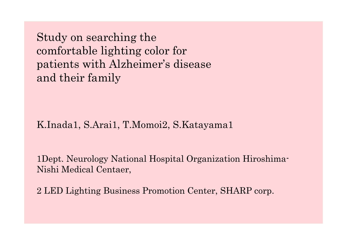Study on searching the comfortable lighting color for patients with Alzheimer's disease and their family

K.Inada1, S.Arai1, T.Momoi2, S.Katayama1

1Dept. Neurology National Hospital Organization Hiroshima-Nishi Medical Centaer,

2 LED Lighting Business Promotion Center, SHARP corp.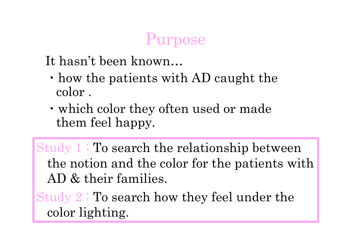### Purpose

It hasn't been known…

- $\cdot$  how the patients with AD caught the color .
- !which color they often used or made them feel happy.

Study 1 : To search the relationship between the notion and the color for the patients with AD & their families.

Study 2 : To search how they feel under the color lighting.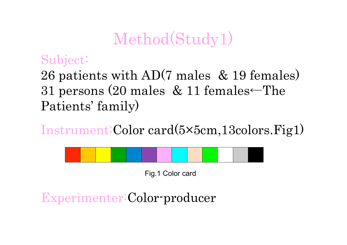### Method(Study1)

#### Subject:

26 patients with AD(7 males & 19 females) 31 persons (20 males  $& 11$  females  $~$ The Patients' family)

Instrument: Color card(5×5cm, 13colors. Fig1)



Fig.1 Color card

Experimenter:Color-producer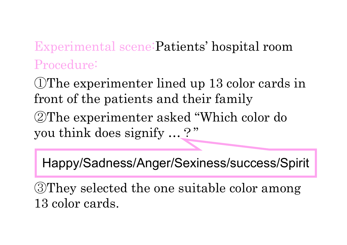Experimental scene:Patients' hospital room Procedure:

OThe experimenter lined up 13 color cards in front of the patients and their family

**2**The experimenter asked "Which color do you think does signify ...?"

Happy/Sadness/Anger/Sexiness/success/Spirit

&They selected the one suitable color among 13 color cards.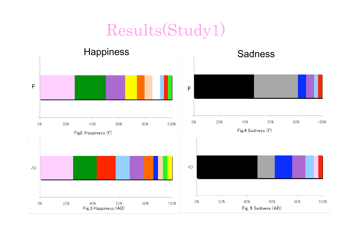### Results(Study1)

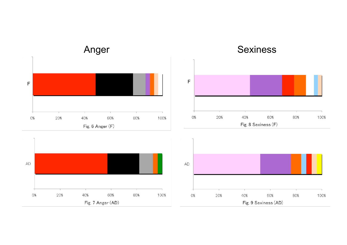



Fig. 8 Sexiness (F)

#### **Sexiness**



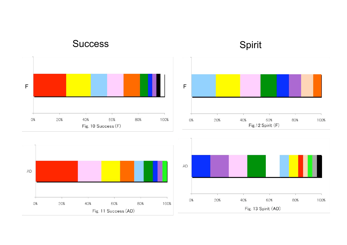











#### Success Spirit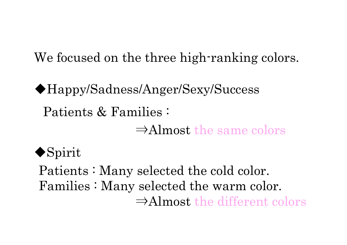We focused on the three high-ranking colors.

Patients & Families : ◆Happy/Sadness/Anger/Sexy/Success  $\Rightarrow$ Almost the same colors

 $\bullet$ Spirit

Patients : Many selected the cold color. Families : Many selected the warm color.  $\Rightarrow$ Almost the different colors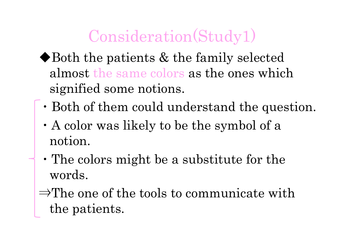## Consideration(Study1)

- $\blacklozenge$  Both the patients  $\&$  the family selected almost the same colors as the ones which signified some notions.
- $\cdot$  Both of them could understand the question.
- !A color was likely to be the symbol of a notion.
- !The colors might be a substitute for the words.
- $\Rightarrow$ The one of the tools to communicate with the patients.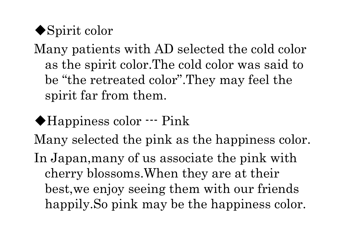'Spirit color

Many patients with AD selected the cold color as the spirit color.The cold color was said to be "the retreated color".They may feel the spirit far from them.

'Happiness color --- Pink Many selected the pink as the happiness color. In Japan,many of us associate the pink with cherry blossoms.When they are at their best,we enjoy seeing them with our friends happily. So pink may be the happiness color.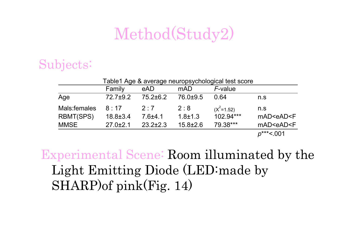### Method(Study2)

### Subjects:

| Table1 Age & average neuropsychological test score |                |                |                |              |                             |  |
|----------------------------------------------------|----------------|----------------|----------------|--------------|-----------------------------|--|
|                                                    | Family         | eAD            | mAD            | F-value      |                             |  |
| Age                                                | $72.7+9.2$     | $75.2 \pm 6.2$ | 76.0±9.5       | 0.64         | n.s                         |  |
| Mals:females                                       | 8:17           | 2.7            | 2:8            | $(X^2=1.52)$ | n.s                         |  |
| RBMT(SPS)                                          | $18.8 \pm 3.4$ | $7.6 + 4.1$    | $1.8 + 1.3$    | 102.94***    | mAD <ead<f< td=""></ead<f<> |  |
| <b>MMSE</b>                                        | $27.0 \pm 2.1$ | $23.2 \pm 2.3$ | $15.8 \pm 2.6$ | 79.38***     | mAD <ead<f< td=""></ead<f<> |  |
|                                                    |                |                |                |              | $p^{***}$ <.001             |  |

Experimental Scene: Room illuminated by the Light Emitting Diode (LED:made by SHARP)of pink(Fig. 14)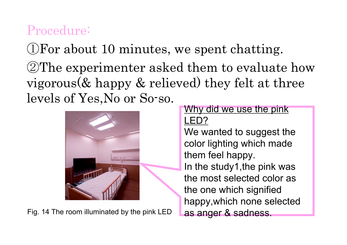### Procedure:

 $\mathbb{D}$  For about 10 minutes, we spent chatting.

**2The experimenter asked them to evaluate how** vigorous(& happy & relieved) they felt at three levels of Yes,No or So-so. Why did we use the pink



Fig. 14 The room illuminated by the pink LED

# LED?

We wanted to suggest the color lighting which made them feel happy. In the study1,the pink was the most selected color as the one which signified happy,which none selected as anger & sadness.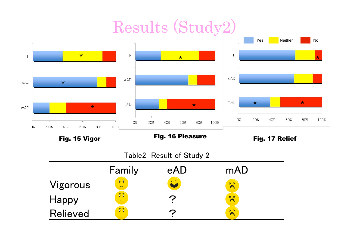## Results (Study2)



Fig. 15 Vigor

Fig. 16 Pleasure

Fig. 17 Relief

#### Table2 Result of Study 2

|                 | Family                                    | eAD | mAD               |  |
|-----------------|-------------------------------------------|-----|-------------------|--|
| Vigorous        | $\widehat{Q}$<br>$\overline{\phantom{0}}$ | E D | $x \times$        |  |
| Happy           | $\widehat{Q}$<br>$\overline{\phantom{0}}$ |     | $\times x$        |  |
| <b>Relieved</b> | $\widehat{Q}$<br>$\overline{\phantom{0}}$ | ◠   | $\times$ $\times$ |  |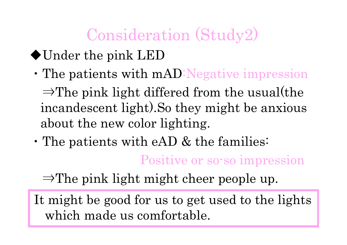## Consideration (Study2)

- 'Under the pink LED
	- . The patients with mAD: Negative impression  $\Rightarrow$ The pink light differed from the usual(the incandescent light).So they might be anxious about the new color lighting.
- $\cdot$  The patients with eAD & the families:

Positive or so-so impression

 $\Rightarrow$ The pink light might cheer people up.

It might be good for us to get used to the lights which made us comfortable.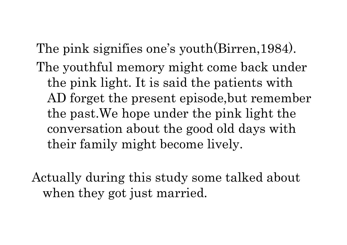The pink signifies one's youth(Birren,1984). The youthful memory might come back under the pink light. It is said the patients with AD forget the present episode,but remember the past.We hope under the pink light the conversation about the good old days with their family might become lively.

Actually during this study some talked about when they got just married.